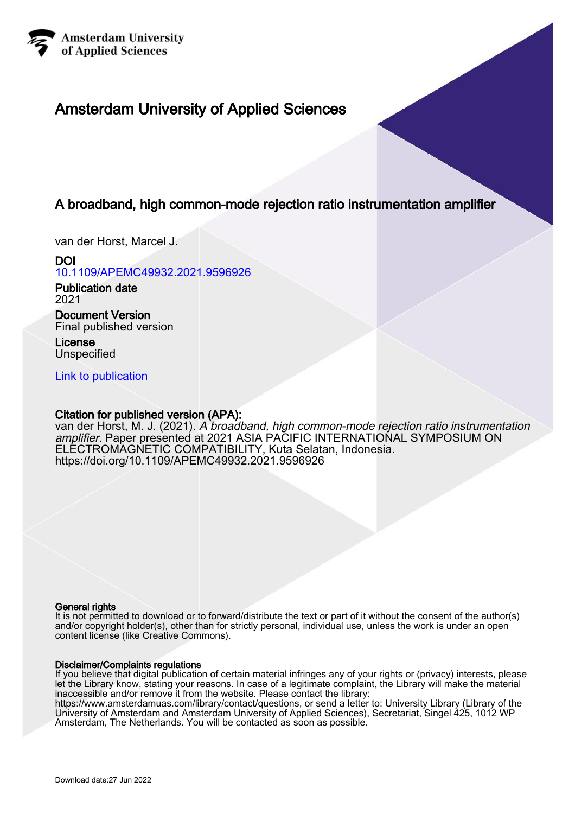

# Amsterdam University of Applied Sciences

# A broadband, high common-mode rejection ratio instrumentation amplifier

van der Horst, Marcel J.

DOI [10.1109/APEMC49932.2021.9596926](https://doi.org/10.1109/APEMC49932.2021.9596926)

Publication date 2021

Document Version Final published version

License **Unspecified** 

[Link to publication](https://research.hva.nl/en/publications/b0441bc7-f4b5-49a7-9725-5de464d2a40f)

## Citation for published version (APA):

van der Horst, M. J. (2021). A broadband, high common-mode rejection ratio instrumentation amplifier. Paper presented at 2021 ASIA PACIFIC INTERNATIONAL SYMPOSIUM ON ELECTROMAGNETIC COMPATIBILITY, Kuta Selatan, Indonesia. <https://doi.org/10.1109/APEMC49932.2021.9596926>

## General rights

It is not permitted to download or to forward/distribute the text or part of it without the consent of the author(s) and/or copyright holder(s), other than for strictly personal, individual use, unless the work is under an open content license (like Creative Commons).

## Disclaimer/Complaints regulations

If you believe that digital publication of certain material infringes any of your rights or (privacy) interests, please let the Library know, stating your reasons. In case of a legitimate complaint, the Library will make the material inaccessible and/or remove it from the website. Please contact the library:

https://www.amsterdamuas.com/library/contact/questions, or send a letter to: University Library (Library of the University of Amsterdam and Amsterdam University of Applied Sciences), Secretariat, Singel 425, 1012 WP Amsterdam, The Netherlands. You will be contacted as soon as possible.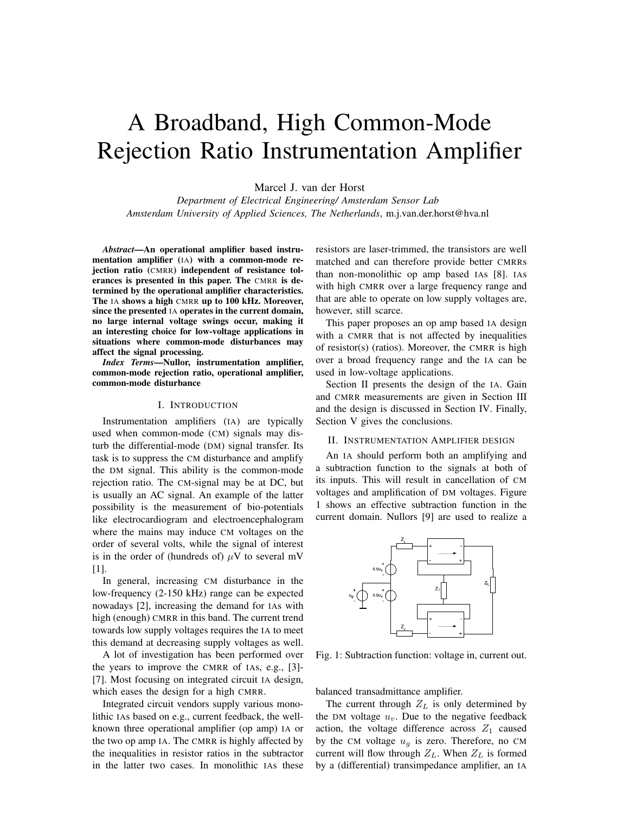# A Broadband, High Common-Mode Rejection Ratio Instrumentation Amplifier

Marcel J. van der Horst

*Department of Electrical Engineering/ Amsterdam Sensor Lab Amsterdam University of Applied Sciences, The Netherlands*, m.j.van.der.horst@hva.nl

*Abstract*—An operational amplifier based instrumentation amplifier (IA) with a common-mode rejection ratio (CMRR) independent of resistance tolerances is presented in this paper. The CMRR is determined by the operational amplifier characteristics. The IA shows a high CMRR up to 100 kHz. Moreover, since the presented IA operates in the current domain, no large internal voltage swings occur, making it an interesting choice for low-voltage applications in situations where common-mode disturbances may affect the signal processing.

*Index Terms*—Nullor, instrumentation amplifier, common-mode rejection ratio, operational amplifier, common-mode disturbance

#### I. INTRODUCTION

Instrumentation amplifiers (IA) are typically used when common-mode (CM) signals may disturb the differential-mode (DM) signal transfer. Its task is to suppress the CM disturbance and amplify the DM signal. This ability is the common-mode rejection ratio. The CM-signal may be at DC, but is usually an AC signal. An example of the latter possibility is the measurement of bio-potentials like electrocardiogram and electroencephalogram where the mains may induce CM voltages on the order of several volts, while the signal of interest is in the order of (hundreds of)  $\mu$ V to several mV [1].

In general, increasing CM disturbance in the low-frequency (2-150 kHz) range can be expected nowadays [2], increasing the demand for IAs with high (enough) CMRR in this band. The current trend towards low supply voltages requires the IA to meet this demand at decreasing supply voltages as well.

A lot of investigation has been performed over the years to improve the CMRR of IAs, e.g., [3]- [7]. Most focusing on integrated circuit IA design, which eases the design for a high CMRR.

Integrated circuit vendors supply various monolithic IAs based on e.g., current feedback, the wellknown three operational amplifier (op amp) IA or the two op amp IA. The CMRR is highly affected by the inequalities in resistor ratios in the subtractor in the latter two cases. In monolithic IAs these resistors are laser-trimmed, the transistors are well matched and can therefore provide better CMRRs than non-monolithic op amp based IAs [8]. IAs with high CMRR over a large frequency range and that are able to operate on low supply voltages are, however, still scarce.

This paper proposes an op amp based IA design with a CMRR that is not affected by inequalities of resistor(s) (ratios). Moreover, the CMRR is high over a broad frequency range and the IA can be used in low-voltage applications.

Section II presents the design of the IA. Gain and CMRR measurements are given in Section III and the design is discussed in Section IV. Finally, Section V gives the conclusions.

#### II. INSTRUMENTATION AMPLIFIER DESIGN

An IA should perform both an amplifying and a subtraction function to the signals at both of its inputs. This will result in cancellation of CM voltages and amplification of DM voltages. Figure 1 shows an effective subtraction function in the current domain. Nullors [9] are used to realize a



Fig. 1: Subtraction function: voltage in, current out.

balanced transadmittance amplifier.

The current through  $Z_L$  is only determined by the DM voltage  $u_v$ . Due to the negative feedback action, the voltage difference across  $Z_1$  caused by the CM voltage  $u_q$  is zero. Therefore, no CM current will flow through  $Z_L$ . When  $Z_L$  is formed by a (differential) transimpedance amplifier, an IA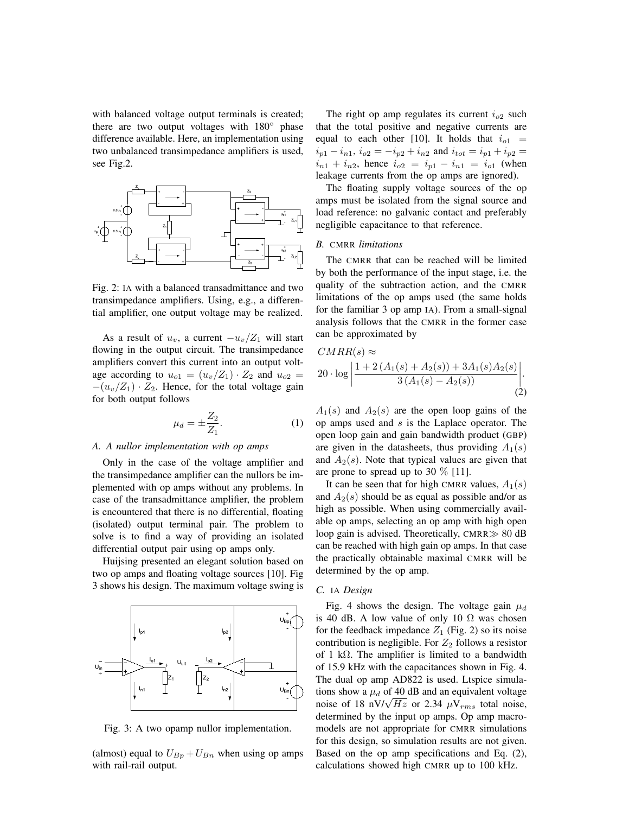with balanced voltage output terminals is created; there are two output voltages with 180<sup>°</sup> phase difference available. Here, an implementation using two unbalanced transimpedance amplifiers is used, see Fig.2.



Fig. 2: IA with a balanced transadmittance and two transimpedance amplifiers. Using, e.g., a differential amplifier, one output voltage may be realized.

As a result of  $u_v$ , a current  $-u_v/Z_1$  will start flowing in the output circuit. The transimpedance amplifiers convert this current into an output voltage according to  $u_{o1} = (u_v/Z_1) \cdot Z_2$  and  $u_{o2} =$  $-(u_v/Z_1) \cdot Z_2$ . Hence, for the total voltage gain for both output follows

$$
\mu_d = \pm \frac{Z_2}{Z_1}.\tag{1}
$$

#### *A. A nullor implementation with op amps*

Only in the case of the voltage amplifier and the transimpedance amplifier can the nullors be implemented with op amps without any problems. In case of the transadmittance amplifier, the problem is encountered that there is no differential, floating (isolated) output terminal pair. The problem to solve is to find a way of providing an isolated differential output pair using op amps only.

Huijsing presented an elegant solution based on two op amps and floating voltage sources [10]. Fig 3 shows his design. The maximum voltage swing is



Fig. 3: A two opamp nullor implementation.

(almost) equal to  $U_{Bp} + U_{Bn}$  when using op amps with rail-rail output.

The right op amp regulates its current  $i_{o2}$  such that the total positive and negative currents are equal to each other [10]. It holds that  $i_{o1}$  =  $i_{p1} - i_{n1}$ ,  $i_{o2} = -i_{p2} + i_{n2}$  and  $i_{tot} = i_{p1} + i_{p2} =$  $i_{n1} + i_{n2}$ , hence  $i_{o2} = i_{p1} - i_{n1} = i_{o1}$  (when leakage currents from the op amps are ignored).

The floating supply voltage sources of the op amps must be isolated from the signal source and load reference: no galvanic contact and preferably negligible capacitance to that reference.

#### *B.* CMRR *limitations*

The CMRR that can be reached will be limited by both the performance of the input stage, i.e. the quality of the subtraction action, and the CMRR limitations of the op amps used (the same holds for the familiar 3 op amp IA). From a small-signal analysis follows that the CMRR in the former case can be approximated by

$$
CMRR(s) \approx
$$
  
20 · log  $\left| \frac{1 + 2(A_1(s) + A_2(s)) + 3A_1(s)A_2(s)}{3(A_1(s) - A_2(s))} \right|$ . (2)

 $A_1(s)$  and  $A_2(s)$  are the open loop gains of the op amps used and s is the Laplace operator. The open loop gain and gain bandwidth product (GBP) are given in the datasheets, thus providing  $A_1(s)$ and  $A_2(s)$ . Note that typical values are given that are prone to spread up to 30  $\%$  [11].

It can be seen that for high CMRR values,  $A_1(s)$ and  $A_2(s)$  should be as equal as possible and/or as high as possible. When using commercially available op amps, selecting an op amp with high open loop gain is advised. Theoretically, CMRR $\gg$  80 dB can be reached with high gain op amps. In that case the practically obtainable maximal CMRR will be determined by the op amp.

#### *C.* IA *Design*

Fig. 4 shows the design. The voltage gain  $\mu_d$ is 40 dB. A low value of only 10  $\Omega$  was chosen for the feedback impedance  $Z_1$  (Fig. 2) so its noise contribution is negligible. For  $Z_2$  follows a resistor of 1 k $\Omega$ . The amplifier is limited to a bandwidth of 15.9 kHz with the capacitances shown in Fig. 4. The dual op amp AD822 is used. Ltspice simulations show a  $\mu_d$  of 40 dB and an equivalent voltage tions snow a  $\mu_d$  or 40 dB and an equivalent voltage noise of 18 nV/ $\sqrt{Hz}$  or 2.34  $\mu V_{rms}$  total noise, determined by the input op amps. Op amp macromodels are not appropriate for CMRR simulations for this design, so simulation results are not given. Based on the op amp specifications and Eq. (2), calculations showed high CMRR up to 100 kHz.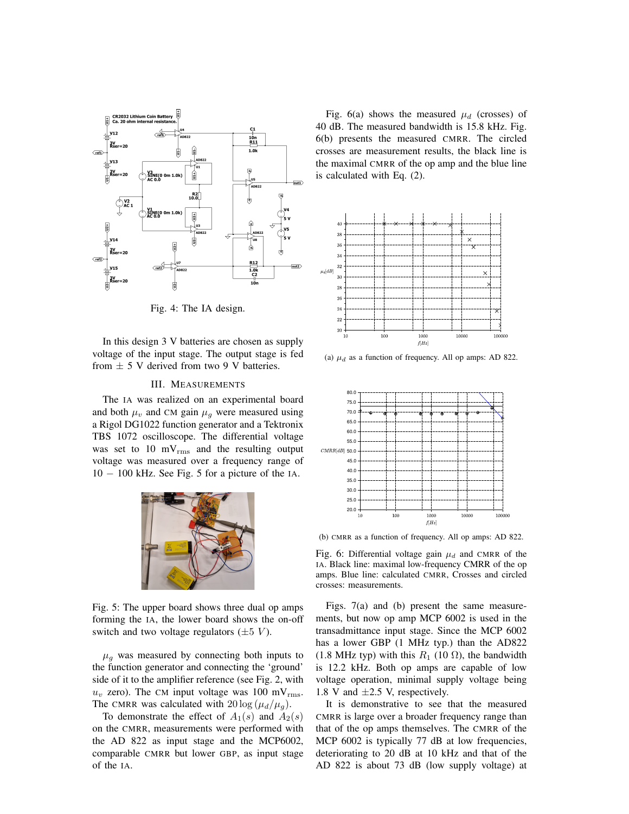

Fig. 4: The IA design.

In this design 3 V batteries are chosen as supply voltage of the input stage. The output stage is fed from  $\pm$  5 V derived from two 9 V batteries.

#### III. MEASUREMENTS

The IA was realized on an experimental board and both  $\mu_v$  and CM gain  $\mu_g$  were measured using a Rigol DG1022 function generator and a Tektronix TBS 1072 oscilloscope. The differential voltage was set to  $10 \text{ mV}_{\text{rms}}$  and the resulting output voltage was measured over a frequency range of 10 − 100 kHz. See Fig. 5 for a picture of the IA.



Fig. 5: The upper board shows three dual op amps forming the IA, the lower board shows the on-off switch and two voltage regulators  $(\pm 5 V)$ .

 $\mu_q$  was measured by connecting both inputs to the function generator and connecting the 'ground' side of it to the amplifier reference (see Fig. 2, with  $u_v$  zero). The CM input voltage was 100 mV<sub>rms</sub>. The CMRR was calculated with  $20 \log(\mu_d/\mu_a)$ .

To demonstrate the effect of  $A_1(s)$  and  $A_2(s)$ on the CMRR, measurements were performed with the AD 822 as input stage and the MCP6002, comparable CMRR but lower GBP, as input stage of the IA.

Fig. 6(a) shows the measured  $\mu_d$  (crosses) of 40 dB. The measured bandwidth is 15.8 kHz. Fig. 6(b) presents the measured CMRR. The circled crosses are measurement results, the black line is the maximal CMRR of the op amp and the blue line is calculated with Eq. (2).



(a)  $\mu_d$  as a function of frequency. All op amps: AD 822.



(b) CMRR as a function of frequency. All op amps: AD 822.

Fig. 6: Differential voltage gain  $\mu_d$  and CMRR of the IA. Black line: maximal low-frequency CMRR of the op amps. Blue line: calculated CMRR, Crosses and circled crosses: measurements.

Figs. 7(a) and (b) present the same measurements, but now op amp MCP 6002 is used in the transadmittance input stage. Since the MCP 6002 has a lower GBP (1 MHz typ.) than the AD822 (1.8 MHz typ) with this  $R_1$  (10  $\Omega$ ), the bandwidth is 12.2 kHz. Both op amps are capable of low voltage operation, minimal supply voltage being 1.8 V and  $\pm 2.5$  V, respectively.

It is demonstrative to see that the measured CMRR is large over a broader frequency range than that of the op amps themselves. The CMRR of the MCP 6002 is typically 77 dB at low frequencies, deteriorating to 20 dB at 10 kHz and that of the AD 822 is about 73 dB (low supply voltage) at